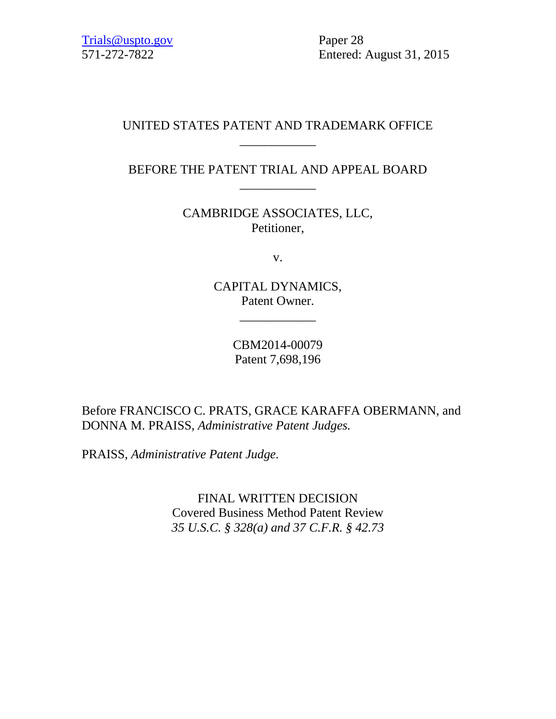571-272-7822 Entered: August 31, 2015

# UNITED STATES PATENT AND TRADEMARK OFFICE \_\_\_\_\_\_\_\_\_\_\_\_

# BEFORE THE PATENT TRIAL AND APPEAL BOARD \_\_\_\_\_\_\_\_\_\_\_\_

CAMBRIDGE ASSOCIATES, LLC, Petitioner,

v.

CAPITAL DYNAMICS, Patent Owner.

\_\_\_\_\_\_\_\_\_\_\_\_

CBM2014-00079 Patent 7,698,196

Before FRANCISCO C. PRATS, GRACE KARAFFA OBERMANN, and DONNA M. PRAISS, *Administrative Patent Judges.*

PRAISS, *Administrative Patent Judge.*

FINAL WRITTEN DECISION Covered Business Method Patent Review *35 U.S.C. § 328(a) and 37 C.F.R. § 42.73*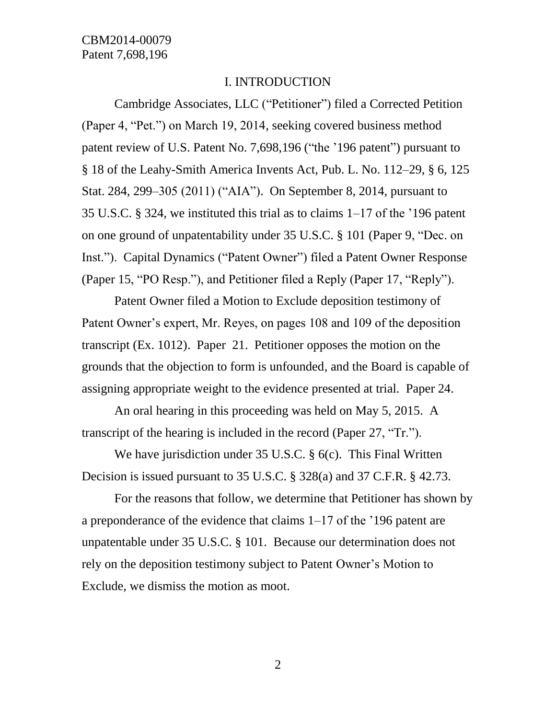#### I. INTRODUCTION

Cambridge Associates, LLC ("Petitioner") filed a Corrected Petition (Paper 4, "Pet.") on March 19, 2014, seeking covered business method patent review of U.S. Patent No. 7,698,196 ("the '196 patent") pursuant to § 18 of the Leahy-Smith America Invents Act, Pub. L. No. 112–29, § 6, 125 Stat. 284, 299–305 (2011) ("AIA"). On September 8, 2014, pursuant to 35 U.S.C. § 324, we instituted this trial as to claims 1–17 of the '196 patent on one ground of unpatentability under 35 U.S.C. § 101 (Paper 9, "Dec. on Inst."). Capital Dynamics ("Patent Owner") filed a Patent Owner Response (Paper 15, "PO Resp."), and Petitioner filed a Reply (Paper 17, "Reply").

Patent Owner filed a Motion to Exclude deposition testimony of Patent Owner's expert, Mr. Reyes, on pages 108 and 109 of the deposition transcript (Ex. 1012). Paper 21. Petitioner opposes the motion on the grounds that the objection to form is unfounded, and the Board is capable of assigning appropriate weight to the evidence presented at trial. Paper 24.

An oral hearing in this proceeding was held on May 5, 2015. A transcript of the hearing is included in the record (Paper 27, "Tr.").

We have jurisdiction under 35 U.S.C. § 6(c). This Final Written Decision is issued pursuant to 35 U.S.C. § 328(a) and 37 C.F.R. § 42.73.

For the reasons that follow, we determine that Petitioner has shown by a preponderance of the evidence that claims 1–17 of the '196 patent are unpatentable under 35 U.S.C. § 101. Because our determination does not rely on the deposition testimony subject to Patent Owner's Motion to Exclude, we dismiss the motion as moot.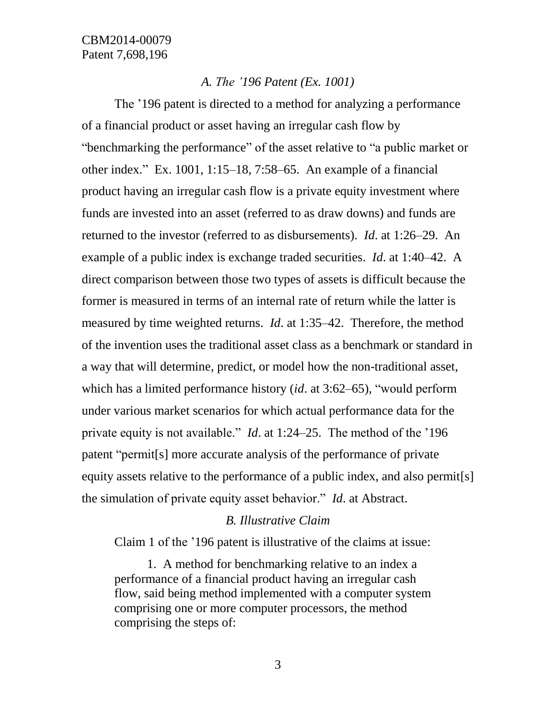#### *A. The '196 Patent (Ex. 1001)*

The '196 patent is directed to a method for analyzing a performance of a financial product or asset having an irregular cash flow by "benchmarking the performance" of the asset relative to "a public market or other index." Ex. 1001, 1:15–18, 7:58–65. An example of a financial product having an irregular cash flow is a private equity investment where funds are invested into an asset (referred to as draw downs) and funds are returned to the investor (referred to as disbursements). *Id*. at 1:26–29. An example of a public index is exchange traded securities. *Id*. at 1:40–42. A direct comparison between those two types of assets is difficult because the former is measured in terms of an internal rate of return while the latter is measured by time weighted returns. *Id*. at 1:35–42. Therefore, the method of the invention uses the traditional asset class as a benchmark or standard in a way that will determine, predict, or model how the non-traditional asset, which has a limited performance history (*id*. at 3:62–65), "would perform under various market scenarios for which actual performance data for the private equity is not available." *Id*. at 1:24–25. The method of the '196 patent "permit[s] more accurate analysis of the performance of private equity assets relative to the performance of a public index, and also permit[s] the simulation of private equity asset behavior." *Id*. at Abstract.

#### *B. Illustrative Claim*

Claim 1 of the '196 patent is illustrative of the claims at issue:

1. A method for benchmarking relative to an index a performance of a financial product having an irregular cash flow, said being method implemented with a computer system comprising one or more computer processors, the method comprising the steps of: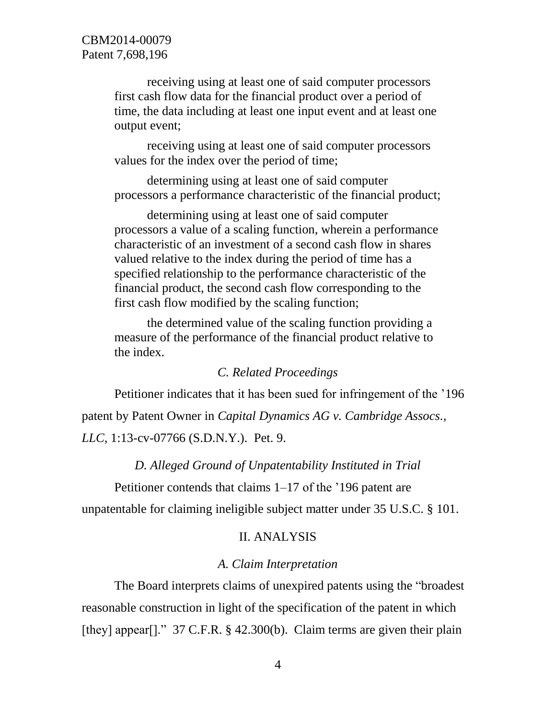receiving using at least one of said computer processors first cash flow data for the financial product over a period of time, the data including at least one input event and at least one output event;

receiving using at least one of said computer processors values for the index over the period of time;

determining using at least one of said computer processors a performance characteristic of the financial product;

determining using at least one of said computer processors a value of a scaling function, wherein a performance characteristic of an investment of a second cash flow in shares valued relative to the index during the period of time has a specified relationship to the performance characteristic of the financial product, the second cash flow corresponding to the first cash flow modified by the scaling function;

the determined value of the scaling function providing a measure of the performance of the financial product relative to the index.

## *C. Related Proceedings*

Petitioner indicates that it has been sued for infringement of the '196 patent by Patent Owner in *Capital Dynamics AG v. Cambridge Assocs., LLC*, 1:13-cv-07766 (S.D.N.Y.). Pet. 9.

*D. Alleged Ground of Unpatentability Instituted in Trial*

Petitioner contends that claims 1–17 of the '196 patent are

unpatentable for claiming ineligible subject matter under 35 U.S.C. § 101.

### II. ANALYSIS

#### *A. Claim Interpretation*

The Board interprets claims of unexpired patents using the "broadest reasonable construction in light of the specification of the patent in which [they] appear[]." 37 C.F.R. § 42.300(b). Claim terms are given their plain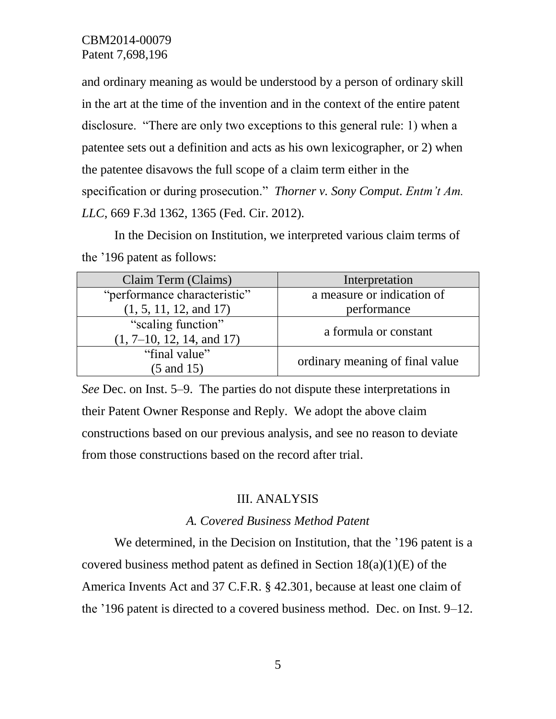and ordinary meaning as would be understood by a person of ordinary skill in the art at the time of the invention and in the context of the entire patent disclosure. "There are only two exceptions to this general rule: 1) when a patentee sets out a definition and acts as his own lexicographer, or 2) when the patentee disavows the full scope of a claim term either in the specification or during prosecution." *Thorner v. Sony Comput. Entm't Am. LLC*, 669 F.3d 1362, 1365 (Fed. Cir. 2012).

In the Decision on Institution, we interpreted various claim terms of the '196 patent as follows:

| Claim Term (Claims)          | Interpretation                  |
|------------------------------|---------------------------------|
| "performance characteristic" | a measure or indication of      |
| (1, 5, 11, 12, and 17)       | performance                     |
| "scaling function"           | a formula or constant           |
| $(1, 7-10, 12, 14, and 17)$  |                                 |
| "final value"                | ordinary meaning of final value |
| $(5 \text{ and } 15)$        |                                 |

*See* Dec. on Inst. 5–9. The parties do not dispute these interpretations in their Patent Owner Response and Reply. We adopt the above claim constructions based on our previous analysis, and see no reason to deviate from those constructions based on the record after trial.

#### III. ANALYSIS

#### *A. Covered Business Method Patent*

We determined, in the Decision on Institution, that the '196 patent is a covered business method patent as defined in Section  $18(a)(1)(E)$  of the America Invents Act and 37 C.F.R. § 42.301, because at least one claim of the '196 patent is directed to a covered business method. Dec. on Inst. 9–12.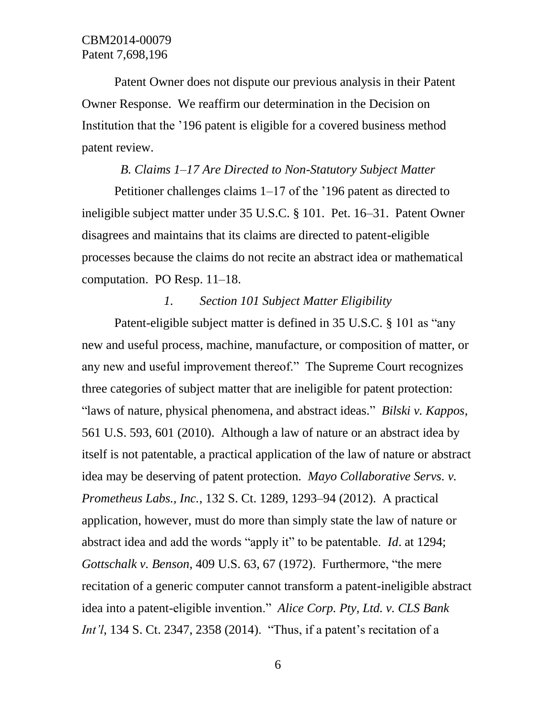Patent Owner does not dispute our previous analysis in their Patent Owner Response. We reaffirm our determination in the Decision on Institution that the '196 patent is eligible for a covered business method patent review.

#### *B. Claims 1–17 Are Directed to Non-Statutory Subject Matter*

Petitioner challenges claims 1–17 of the '196 patent as directed to ineligible subject matter under 35 U.S.C. § 101. Pet. 16–31. Patent Owner disagrees and maintains that its claims are directed to patent-eligible processes because the claims do not recite an abstract idea or mathematical computation. PO Resp. 11–18.

## *1. Section 101 Subject Matter Eligibility*

Patent-eligible subject matter is defined in 35 U.S.C. § 101 as "any new and useful process, machine, manufacture, or composition of matter, or any new and useful improvement thereof." The Supreme Court recognizes three categories of subject matter that are ineligible for patent protection: "laws of nature, physical phenomena, and abstract ideas." *Bilski v. Kappos*, 561 U.S. 593, 601 (2010). Although a law of nature or an abstract idea by itself is not patentable, a practical application of the law of nature or abstract idea may be deserving of patent protection. *Mayo Collaborative Servs. v. Prometheus Labs., Inc.*, 132 S. Ct. 1289, 1293–94 (2012). A practical application, however, must do more than simply state the law of nature or abstract idea and add the words "apply it" to be patentable. *Id*. at 1294; *Gottschalk v. Benson*, 409 U.S. 63, 67 (1972). Furthermore, "the mere recitation of a generic computer cannot transform a patent-ineligible abstract idea into a patent-eligible invention." *Alice Corp. Pty, Ltd. v. CLS Bank Int'l*, 134 S. Ct. 2347, 2358 (2014). "Thus, if a patent's recitation of a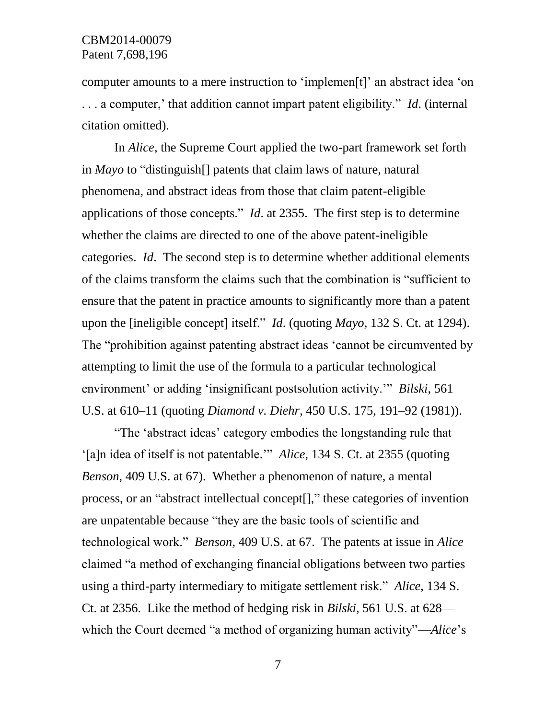computer amounts to a mere instruction to 'implemen[t]' an abstract idea 'on . . . a computer,' that addition cannot impart patent eligibility." *Id*. (internal citation omitted).

In *Alice*, the Supreme Court applied the two-part framework set forth in *Mayo* to "distinguish[] patents that claim laws of nature, natural phenomena, and abstract ideas from those that claim patent-eligible applications of those concepts." *Id*. at 2355. The first step is to determine whether the claims are directed to one of the above patent-ineligible categories. *Id*. The second step is to determine whether additional elements of the claims transform the claims such that the combination is "sufficient to ensure that the patent in practice amounts to significantly more than a patent upon the [ineligible concept] itself." *Id*. (quoting *Mayo*, 132 S. Ct. at 1294). The "prohibition against patenting abstract ideas 'cannot be circumvented by attempting to limit the use of the formula to a particular technological environment' or adding 'insignificant postsolution activity.'" *Bilski*, 561 U.S. at 610–11 (quoting *Diamond v. Diehr*, 450 U.S. 175, 191–92 (1981)).

"The 'abstract ideas' category embodies the longstanding rule that '[a]n idea of itself is not patentable.'" *Alice*, 134 S. Ct. at 2355 (quoting *Benson*, 409 U.S. at 67). Whether a phenomenon of nature, a mental process, or an "abstract intellectual concept[]," these categories of invention are unpatentable because "they are the basic tools of scientific and technological work." *Benson*, 409 U.S. at 67. The patents at issue in *Alice* claimed "a method of exchanging financial obligations between two parties using a third-party intermediary to mitigate settlement risk." *Alice*, 134 S. Ct. at 2356. Like the method of hedging risk in *Bilski*, 561 U.S. at 628–– which the Court deemed "a method of organizing human activity"––*Alice*'s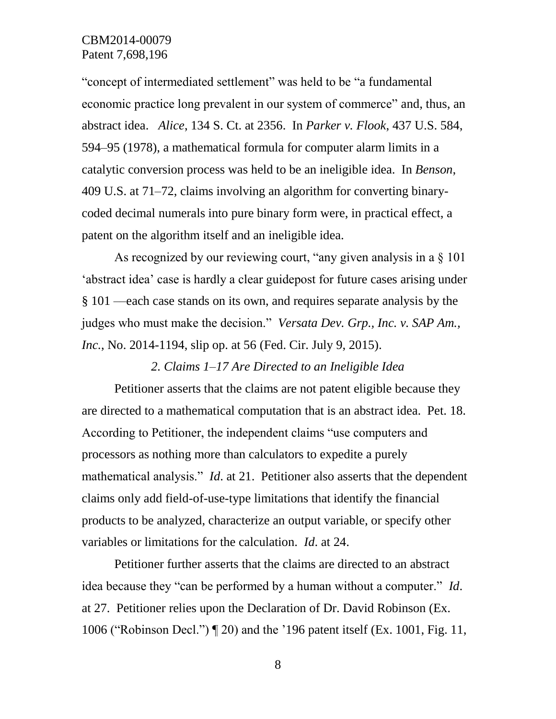"concept of intermediated settlement" was held to be "a fundamental economic practice long prevalent in our system of commerce" and, thus, an abstract idea. *Alice*, 134 S. Ct. at 2356. In *Parker v. Flook*, 437 U.S. 584, 594–95 (1978), a mathematical formula for computer alarm limits in a catalytic conversion process was held to be an ineligible idea. In *Benson*, 409 U.S. at 71–72, claims involving an algorithm for converting binarycoded decimal numerals into pure binary form were, in practical effect, a patent on the algorithm itself and an ineligible idea.

As recognized by our reviewing court, "any given analysis in a § 101 'abstract idea' case is hardly a clear guidepost for future cases arising under § 101 ––each case stands on its own, and requires separate analysis by the judges who must make the decision." *Versata Dev. Grp., Inc. v. SAP Am., Inc.*, No. 2014-1194, slip op. at 56 (Fed. Cir. July 9, 2015).

### *2. Claims 1–17 Are Directed to an Ineligible Idea*

Petitioner asserts that the claims are not patent eligible because they are directed to a mathematical computation that is an abstract idea. Pet. 18. According to Petitioner, the independent claims "use computers and processors as nothing more than calculators to expedite a purely mathematical analysis." *Id*. at 21. Petitioner also asserts that the dependent claims only add field-of-use-type limitations that identify the financial products to be analyzed, characterize an output variable, or specify other variables or limitations for the calculation. *Id*. at 24.

Petitioner further asserts that the claims are directed to an abstract idea because they "can be performed by a human without a computer." *Id*. at 27. Petitioner relies upon the Declaration of Dr. David Robinson (Ex. 1006 ("Robinson Decl.") ¶ 20) and the '196 patent itself (Ex. 1001, Fig. 11,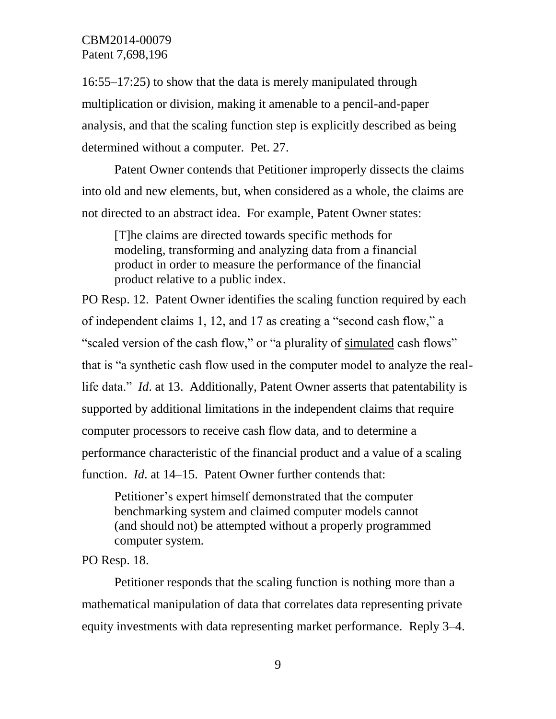16:55–17:25) to show that the data is merely manipulated through multiplication or division, making it amenable to a pencil-and-paper analysis, and that the scaling function step is explicitly described as being determined without a computer. Pet. 27.

Patent Owner contends that Petitioner improperly dissects the claims into old and new elements, but, when considered as a whole, the claims are not directed to an abstract idea. For example, Patent Owner states:

[T]he claims are directed towards specific methods for modeling, transforming and analyzing data from a financial product in order to measure the performance of the financial product relative to a public index.

PO Resp. 12. Patent Owner identifies the scaling function required by each of independent claims 1, 12, and 17 as creating a "second cash flow," a "scaled version of the cash flow," or "a plurality of simulated cash flows" that is "a synthetic cash flow used in the computer model to analyze the reallife data." *Id*. at 13. Additionally, Patent Owner asserts that patentability is supported by additional limitations in the independent claims that require computer processors to receive cash flow data, and to determine a performance characteristic of the financial product and a value of a scaling function. *Id*. at 14–15. Patent Owner further contends that:

Petitioner's expert himself demonstrated that the computer benchmarking system and claimed computer models cannot (and should not) be attempted without a properly programmed computer system.

PO Resp. 18.

Petitioner responds that the scaling function is nothing more than a mathematical manipulation of data that correlates data representing private equity investments with data representing market performance. Reply 3–4.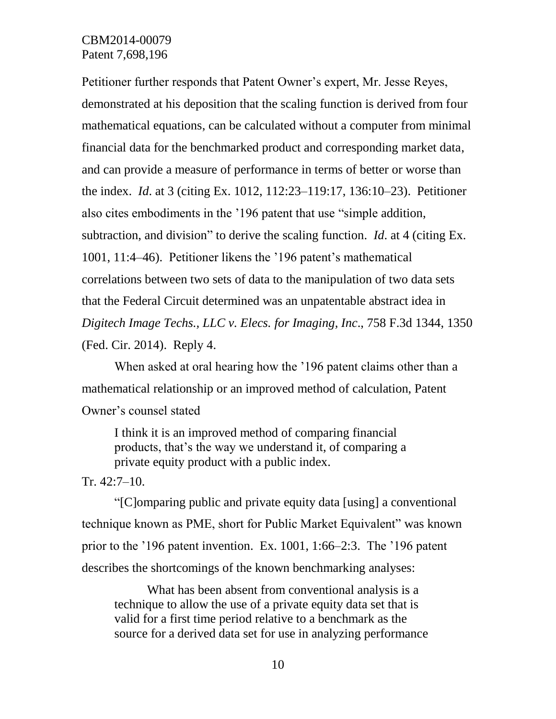Petitioner further responds that Patent Owner's expert, Mr. Jesse Reyes, demonstrated at his deposition that the scaling function is derived from four mathematical equations, can be calculated without a computer from minimal financial data for the benchmarked product and corresponding market data, and can provide a measure of performance in terms of better or worse than the index. *Id*. at 3 (citing Ex. 1012, 112:23–119:17, 136:10–23). Petitioner also cites embodiments in the '196 patent that use "simple addition, subtraction, and division" to derive the scaling function. *Id*. at 4 (citing Ex. 1001, 11:4–46). Petitioner likens the '196 patent's mathematical correlations between two sets of data to the manipulation of two data sets that the Federal Circuit determined was an unpatentable abstract idea in *Digitech Image Techs., LLC v. Elecs. for Imaging, Inc*., 758 F.3d 1344, 1350 (Fed. Cir. 2014). Reply 4.

When asked at oral hearing how the '196 patent claims other than a mathematical relationship or an improved method of calculation, Patent Owner's counsel stated

I think it is an improved method of comparing financial products, that's the way we understand it, of comparing a private equity product with a public index.

#### Tr. 42:7–10.

"[C]omparing public and private equity data [using] a conventional technique known as PME, short for Public Market Equivalent" was known prior to the '196 patent invention. Ex. 1001, 1:66–2:3. The '196 patent describes the shortcomings of the known benchmarking analyses:

What has been absent from conventional analysis is a technique to allow the use of a private equity data set that is valid for a first time period relative to a benchmark as the source for a derived data set for use in analyzing performance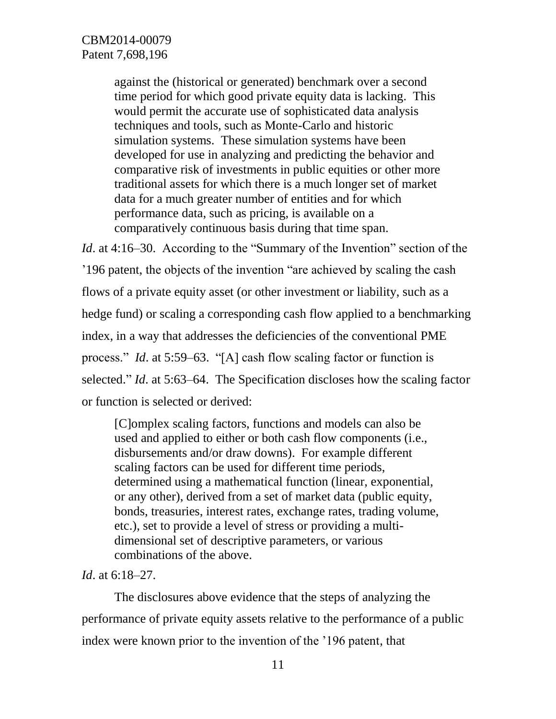against the (historical or generated) benchmark over a second time period for which good private equity data is lacking. This would permit the accurate use of sophisticated data analysis techniques and tools, such as Monte-Carlo and historic simulation systems. These simulation systems have been developed for use in analyzing and predicting the behavior and comparative risk of investments in public equities or other more traditional assets for which there is a much longer set of market data for a much greater number of entities and for which performance data, such as pricing, is available on a comparatively continuous basis during that time span.

*Id.* at 4:16–30. According to the "Summary of the Invention" section of the '196 patent, the objects of the invention "are achieved by scaling the cash flows of a private equity asset (or other investment or liability, such as a hedge fund) or scaling a corresponding cash flow applied to a benchmarking index, in a way that addresses the deficiencies of the conventional PME process." *Id*. at 5:59–63. "[A] cash flow scaling factor or function is selected." *Id*. at 5:63–64. The Specification discloses how the scaling factor or function is selected or derived:

[C]omplex scaling factors, functions and models can also be used and applied to either or both cash flow components (i.e., disbursements and/or draw downs). For example different scaling factors can be used for different time periods, determined using a mathematical function (linear, exponential, or any other), derived from a set of market data (public equity, bonds, treasuries, interest rates, exchange rates, trading volume, etc.), set to provide a level of stress or providing a multidimensional set of descriptive parameters, or various combinations of the above.

*Id*. at 6:18–27.

The disclosures above evidence that the steps of analyzing the performance of private equity assets relative to the performance of a public index were known prior to the invention of the '196 patent, that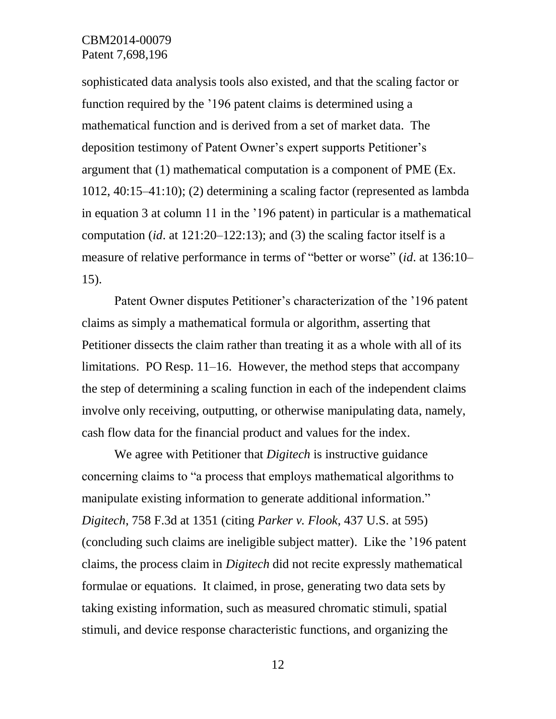sophisticated data analysis tools also existed, and that the scaling factor or function required by the '196 patent claims is determined using a mathematical function and is derived from a set of market data. The deposition testimony of Patent Owner's expert supports Petitioner's argument that (1) mathematical computation is a component of PME (Ex. 1012, 40:15–41:10); (2) determining a scaling factor (represented as lambda in equation 3 at column 11 in the '196 patent) in particular is a mathematical computation (*id*. at 121:20–122:13); and (3) the scaling factor itself is a measure of relative performance in terms of "better or worse" (*id*. at 136:10– 15).

Patent Owner disputes Petitioner's characterization of the '196 patent claims as simply a mathematical formula or algorithm, asserting that Petitioner dissects the claim rather than treating it as a whole with all of its limitations. PO Resp. 11–16. However, the method steps that accompany the step of determining a scaling function in each of the independent claims involve only receiving, outputting, or otherwise manipulating data, namely, cash flow data for the financial product and values for the index.

We agree with Petitioner that *Digitech* is instructive guidance concerning claims to "a process that employs mathematical algorithms to manipulate existing information to generate additional information." *Digitech*, 758 F.3d at 1351 (citing *Parker v. Flook*, 437 U.S. at 595) (concluding such claims are ineligible subject matter). Like the '196 patent claims, the process claim in *Digitech* did not recite expressly mathematical formulae or equations. It claimed, in prose, generating two data sets by taking existing information, such as measured chromatic stimuli, spatial stimuli, and device response characteristic functions, and organizing the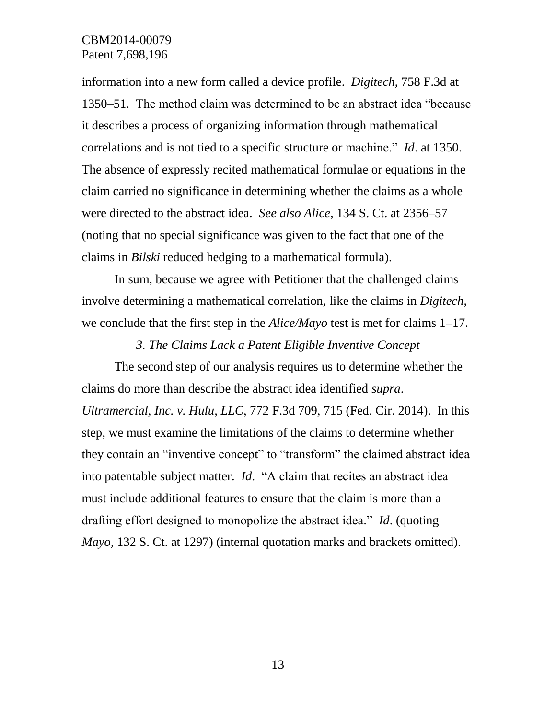information into a new form called a device profile. *Digitech*, 758 F.3d at 1350–51. The method claim was determined to be an abstract idea "because it describes a process of organizing information through mathematical correlations and is not tied to a specific structure or machine." *Id*. at 1350. The absence of expressly recited mathematical formulae or equations in the claim carried no significance in determining whether the claims as a whole were directed to the abstract idea. *See also Alice*, 134 S. Ct. at 2356–57 (noting that no special significance was given to the fact that one of the claims in *Bilski* reduced hedging to a mathematical formula).

In sum, because we agree with Petitioner that the challenged claims involve determining a mathematical correlation, like the claims in *Digitech*, we conclude that the first step in the *Alice/Mayo* test is met for claims 1–17.

*3. The Claims Lack a Patent Eligible Inventive Concept*

The second step of our analysis requires us to determine whether the claims do more than describe the abstract idea identified *supra*. *Ultramercial, Inc. v. Hulu, LLC*, 772 F.3d 709, 715 (Fed. Cir. 2014). In this step, we must examine the limitations of the claims to determine whether they contain an "inventive concept" to "transform" the claimed abstract idea into patentable subject matter. *Id*. "A claim that recites an abstract idea must include additional features to ensure that the claim is more than a drafting effort designed to monopolize the abstract idea." *Id*. (quoting *Mayo*, 132 S. Ct. at 1297) (internal quotation marks and brackets omitted).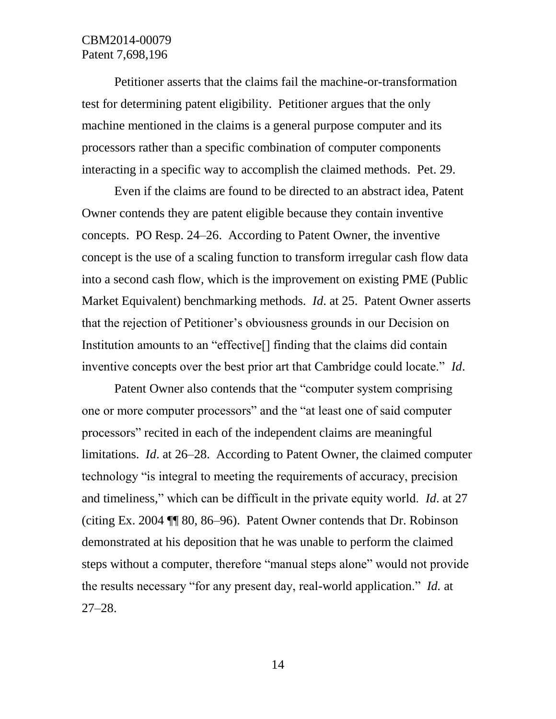Petitioner asserts that the claims fail the machine-or-transformation test for determining patent eligibility. Petitioner argues that the only machine mentioned in the claims is a general purpose computer and its processors rather than a specific combination of computer components interacting in a specific way to accomplish the claimed methods. Pet. 29.

Even if the claims are found to be directed to an abstract idea, Patent Owner contends they are patent eligible because they contain inventive concepts. PO Resp. 24–26. According to Patent Owner, the inventive concept is the use of a scaling function to transform irregular cash flow data into a second cash flow, which is the improvement on existing PME (Public Market Equivalent) benchmarking methods. *Id*. at 25. Patent Owner asserts that the rejection of Petitioner's obviousness grounds in our Decision on Institution amounts to an "effective[] finding that the claims did contain inventive concepts over the best prior art that Cambridge could locate." *Id*.

Patent Owner also contends that the "computer system comprising one or more computer processors" and the "at least one of said computer processors" recited in each of the independent claims are meaningful limitations. *Id*. at 26–28. According to Patent Owner, the claimed computer technology "is integral to meeting the requirements of accuracy, precision and timeliness," which can be difficult in the private equity world. *Id*. at 27 (citing Ex. 2004 ¶¶ 80, 86–96). Patent Owner contends that Dr. Robinson demonstrated at his deposition that he was unable to perform the claimed steps without a computer, therefore "manual steps alone" would not provide the results necessary "for any present day, real-world application." *Id.* at 27–28.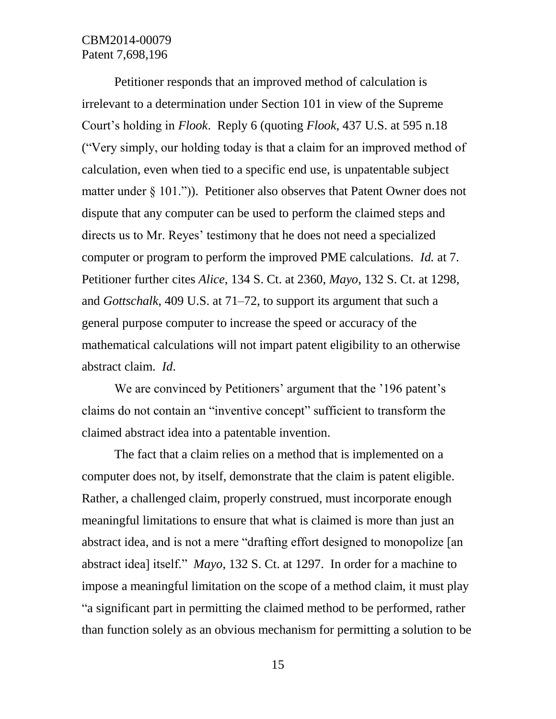Petitioner responds that an improved method of calculation is irrelevant to a determination under Section 101 in view of the Supreme Court's holding in *Flook*. Reply 6 (quoting *Flook*, 437 U.S. at 595 n.18 ("Very simply, our holding today is that a claim for an improved method of calculation, even when tied to a specific end use, is unpatentable subject matter under § 101.")). Petitioner also observes that Patent Owner does not dispute that any computer can be used to perform the claimed steps and directs us to Mr. Reyes' testimony that he does not need a specialized computer or program to perform the improved PME calculations. *Id.* at 7. Petitioner further cites *Alice*, 134 S. Ct. at 2360, *Mayo*, 132 S. Ct. at 1298, and *Gottschalk*, 409 U.S. at 71–72, to support its argument that such a general purpose computer to increase the speed or accuracy of the mathematical calculations will not impart patent eligibility to an otherwise abstract claim. *Id*.

We are convinced by Petitioners' argument that the '196 patent's claims do not contain an "inventive concept" sufficient to transform the claimed abstract idea into a patentable invention.

The fact that a claim relies on a method that is implemented on a computer does not, by itself, demonstrate that the claim is patent eligible. Rather, a challenged claim, properly construed, must incorporate enough meaningful limitations to ensure that what is claimed is more than just an abstract idea, and is not a mere "drafting effort designed to monopolize [an abstract idea] itself." *Mayo*, 132 S. Ct. at 1297. In order for a machine to impose a meaningful limitation on the scope of a method claim, it must play "a significant part in permitting the claimed method to be performed, rather than function solely as an obvious mechanism for permitting a solution to be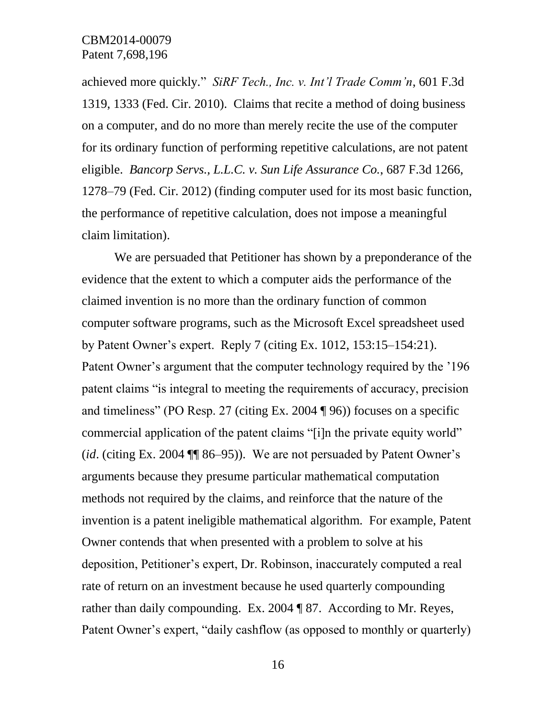achieved more quickly." *SiRF Tech., Inc. v. Int'l Trade Comm'n*, 601 F.3d 1319, 1333 (Fed. Cir. 2010). Claims that recite a method of doing business on a computer, and do no more than merely recite the use of the computer for its ordinary function of performing repetitive calculations, are not patent eligible. *Bancorp Servs., L.L.C. v. Sun Life Assurance Co.*, 687 F.3d 1266, 1278–79 (Fed. Cir. 2012) (finding computer used for its most basic function, the performance of repetitive calculation, does not impose a meaningful claim limitation).

We are persuaded that Petitioner has shown by a preponderance of the evidence that the extent to which a computer aids the performance of the claimed invention is no more than the ordinary function of common computer software programs, such as the Microsoft Excel spreadsheet used by Patent Owner's expert. Reply 7 (citing Ex. 1012, 153:15–154:21). Patent Owner's argument that the computer technology required by the '196 patent claims "is integral to meeting the requirements of accuracy, precision and timeliness" (PO Resp. 27 (citing Ex. 2004 ¶ 96)) focuses on a specific commercial application of the patent claims "[i]n the private equity world" (*id*. (citing Ex. 2004 ¶¶ 86–95)). We are not persuaded by Patent Owner's arguments because they presume particular mathematical computation methods not required by the claims, and reinforce that the nature of the invention is a patent ineligible mathematical algorithm. For example, Patent Owner contends that when presented with a problem to solve at his deposition, Petitioner's expert, Dr. Robinson, inaccurately computed a real rate of return on an investment because he used quarterly compounding rather than daily compounding. Ex. 2004 ¶ 87. According to Mr. Reyes, Patent Owner's expert, "daily cashflow (as opposed to monthly or quarterly)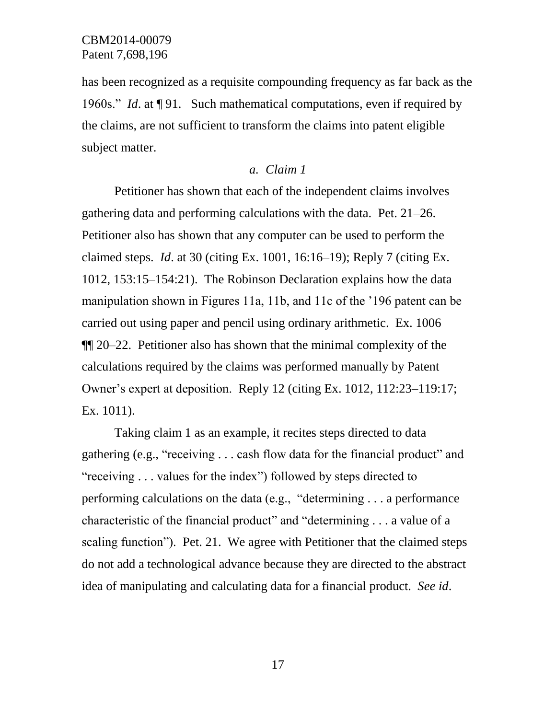has been recognized as a requisite compounding frequency as far back as the 1960s." *Id*. at ¶ 91. Such mathematical computations, even if required by the claims, are not sufficient to transform the claims into patent eligible subject matter.

#### *a. Claim 1*

Petitioner has shown that each of the independent claims involves gathering data and performing calculations with the data. Pet. 21–26. Petitioner also has shown that any computer can be used to perform the claimed steps. *Id*. at 30 (citing Ex. 1001, 16:16–19); Reply 7 (citing Ex. 1012, 153:15–154:21). The Robinson Declaration explains how the data manipulation shown in Figures 11a, 11b, and 11c of the '196 patent can be carried out using paper and pencil using ordinary arithmetic. Ex. 1006 ¶¶ 20–22. Petitioner also has shown that the minimal complexity of the calculations required by the claims was performed manually by Patent Owner's expert at deposition. Reply 12 (citing Ex. 1012, 112:23–119:17; Ex. 1011).

Taking claim 1 as an example, it recites steps directed to data gathering (e.g., "receiving . . . cash flow data for the financial product" and "receiving . . . values for the index") followed by steps directed to performing calculations on the data (e.g., "determining . . . a performance characteristic of the financial product" and "determining . . . a value of a scaling function"). Pet. 21. We agree with Petitioner that the claimed steps do not add a technological advance because they are directed to the abstract idea of manipulating and calculating data for a financial product. *See id*.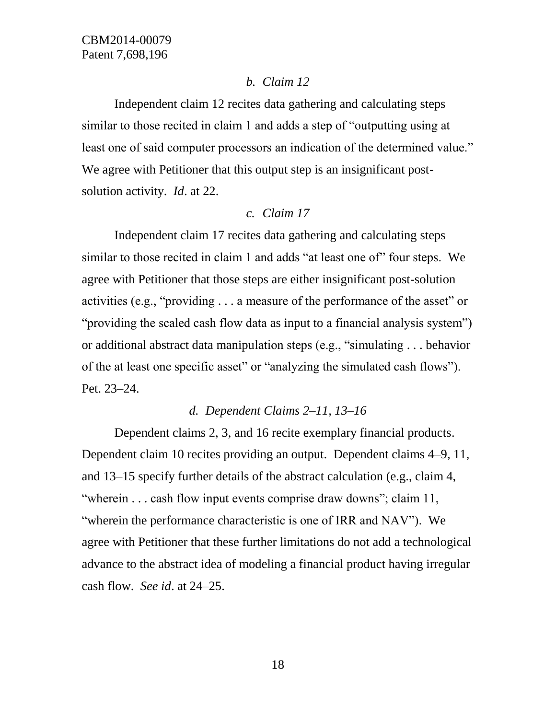### *b. Claim 12*

Independent claim 12 recites data gathering and calculating steps similar to those recited in claim 1 and adds a step of "outputting using at least one of said computer processors an indication of the determined value." We agree with Petitioner that this output step is an insignificant postsolution activity. *Id*. at 22.

### *c. Claim 17*

Independent claim 17 recites data gathering and calculating steps similar to those recited in claim 1 and adds "at least one of" four steps. We agree with Petitioner that those steps are either insignificant post-solution activities (e.g., "providing . . . a measure of the performance of the asset" or "providing the scaled cash flow data as input to a financial analysis system") or additional abstract data manipulation steps (e.g., "simulating . . . behavior of the at least one specific asset" or "analyzing the simulated cash flows"). Pet. 23–24.

## *d. Dependent Claims 2–11, 13–16*

Dependent claims 2, 3, and 16 recite exemplary financial products. Dependent claim 10 recites providing an output. Dependent claims 4–9, 11, and 13–15 specify further details of the abstract calculation (e.g., claim 4, "wherein . . . cash flow input events comprise draw downs"; claim 11, "wherein the performance characteristic is one of IRR and NAV"). We agree with Petitioner that these further limitations do not add a technological advance to the abstract idea of modeling a financial product having irregular cash flow. *See id*. at 24–25.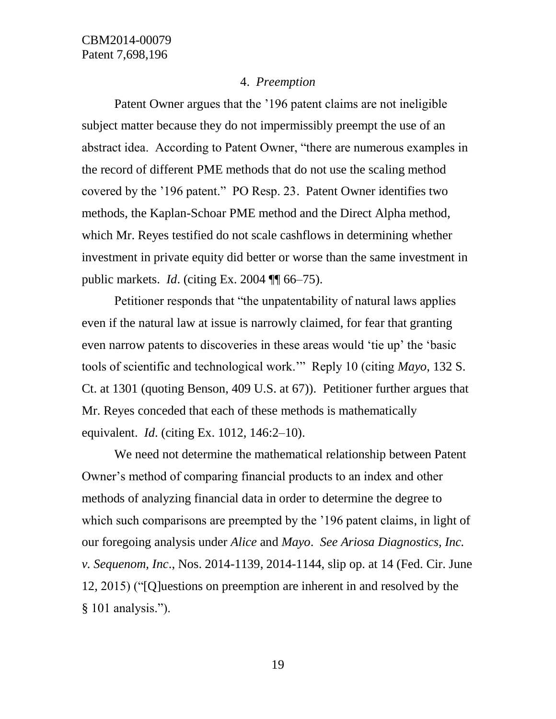#### 4. *Preemption*

Patent Owner argues that the '196 patent claims are not ineligible subject matter because they do not impermissibly preempt the use of an abstract idea. According to Patent Owner, "there are numerous examples in the record of different PME methods that do not use the scaling method covered by the '196 patent." PO Resp. 23. Patent Owner identifies two methods, the Kaplan-Schoar PME method and the Direct Alpha method, which Mr. Reyes testified do not scale cashflows in determining whether investment in private equity did better or worse than the same investment in public markets. *Id*. (citing Ex. 2004 ¶¶ 66–75).

Petitioner responds that "the unpatentability of natural laws applies even if the natural law at issue is narrowly claimed, for fear that granting even narrow patents to discoveries in these areas would 'tie up' the 'basic tools of scientific and technological work.'" Reply 10 (citing *Mayo*, 132 S. Ct. at 1301 (quoting Benson, 409 U.S. at 67)). Petitioner further argues that Mr. Reyes conceded that each of these methods is mathematically equivalent. *Id*. (citing Ex. 1012, 146:2–10).

We need not determine the mathematical relationship between Patent Owner's method of comparing financial products to an index and other methods of analyzing financial data in order to determine the degree to which such comparisons are preempted by the '196 patent claims, in light of our foregoing analysis under *Alice* and *Mayo*. *See Ariosa Diagnostics, Inc. v. Sequenom, Inc*., Nos. 2014-1139, 2014-1144, slip op. at 14 (Fed. Cir. June 12, 2015) ("[Q]uestions on preemption are inherent in and resolved by the § 101 analysis.").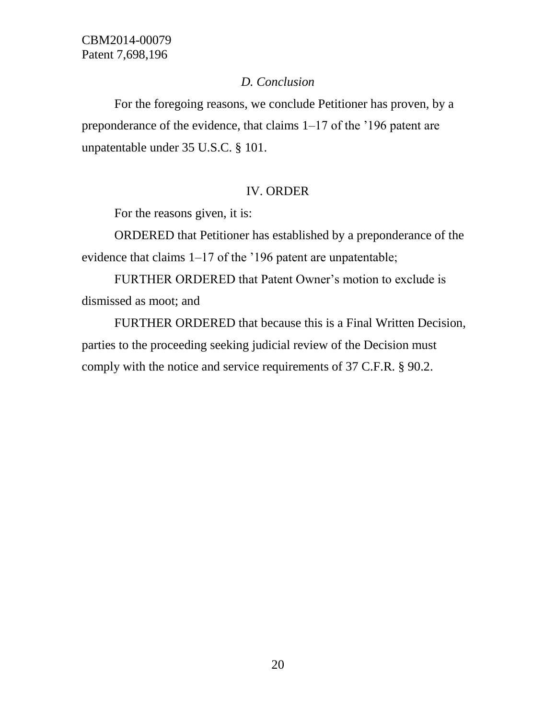## *D. Conclusion*

For the foregoing reasons, we conclude Petitioner has proven, by a preponderance of the evidence, that claims 1–17 of the '196 patent are unpatentable under 35 U.S.C. § 101.

# IV. ORDER

For the reasons given, it is:

ORDERED that Petitioner has established by a preponderance of the evidence that claims 1–17 of the '196 patent are unpatentable;

FURTHER ORDERED that Patent Owner's motion to exclude is dismissed as moot; and

FURTHER ORDERED that because this is a Final Written Decision, parties to the proceeding seeking judicial review of the Decision must comply with the notice and service requirements of 37 C.F.R. § 90.2.